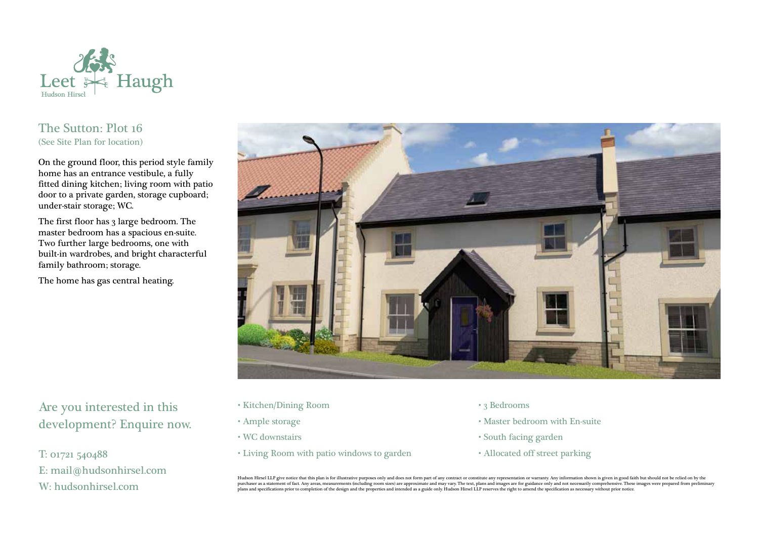

## The Sutton: Plot 16 (See Site Plan for location)

On the ground floor, this period style family home has an entrance vestibule, a fully fitted dining kitchen; living room with patio door to a private garden, storage cupboard; under-stair storage; WC.

The first floor has 3 large bedroom. The master bedroom has a spacious en-suite. Two further large bedrooms, one with built-in wardrobes, and bright characterful family bathroom; storage.

The home has gas central heating.



Are you interested in this development? Enquire now.

T: 01721 540488 E: mail@hudsonhirsel.com W: hudsonhirsel.com

- Kitchen/Dining Room
- Ample storage
- WC downstairs
- Living Room with patio windows to garden
- 3 Bedrooms
- Master bedroom with En-suite
- South facing garden
- Allocated off street parking

Hudson Hirsel LLP give notice that this plan is for illustrative purposes only and does not form part of any contract or constitute any representation or warranty. Any information shown is given in good faith but should no purchaser as a statement of fact. Any areas, measurements (including room sizes) are approximate and may vary. The text, plans and images are for guidance only and not necessarily comprehensive. These images were prepared